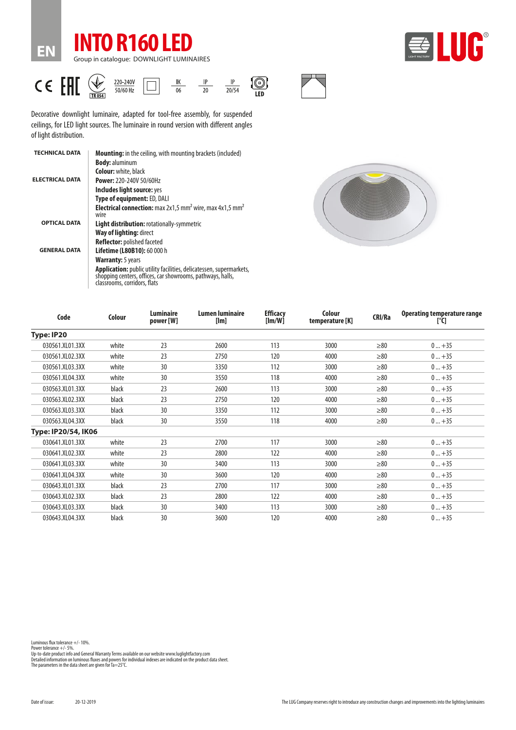





Decorative downlight luminaire, adapted for tool-free assembly, for suspended ceilings, for LED light sources. The luminaire in round version with different angles of light distribution.

| <b>TECHNICAL DATA</b>  | <b>Mounting:</b> in the ceiling, with mounting brackets (included)                                                                                                |
|------------------------|-------------------------------------------------------------------------------------------------------------------------------------------------------------------|
|                        | <b>Body: aluminum</b>                                                                                                                                             |
|                        | <b>Colour:</b> white, black                                                                                                                                       |
| <b>ELECTRICAL DATA</b> | <b>Power: 220-240V 50/60Hz</b>                                                                                                                                    |
|                        | Includes light source: yes                                                                                                                                        |
|                        | Type of equipment: ED, DALI                                                                                                                                       |
|                        | <b>Electrical connection:</b> max $2x1.5$ mm <sup>2</sup> wire, max $4x1.5$ mm <sup>2</sup><br>wire                                                               |
| <b>OPTICAL DATA</b>    | <b>Light distribution: rotationally-symmetric</b>                                                                                                                 |
|                        | <b>Way of lighting: direct</b>                                                                                                                                    |
|                        | <b>Reflector:</b> polished faceted                                                                                                                                |
| <b>GENERAL DATA</b>    | <b>Lifetime (L80B10): 60 000 h</b>                                                                                                                                |
|                        | <b>Warranty:</b> 5 years                                                                                                                                          |
|                        | Application: public utility facilities, delicatessen, supermarkets,<br>shopping centers, offices, car showrooms, pathways, halls,<br>classrooms, corridors, flats |



| Code                | <b>Colour</b> | Luminaire<br>power [W] | <b>Lumen luminaire</b><br>[Im] | <b>Efficacy</b><br>[lm/W] | Colour<br>temperature [K] | CRI/Ra    | <b>Operating temperature range</b><br>[°C] |
|---------------------|---------------|------------------------|--------------------------------|---------------------------|---------------------------|-----------|--------------------------------------------|
| Type: IP20          |               |                        |                                |                           |                           |           |                                            |
| 030561.XL01.3XX     | white         | 23                     | 2600                           | 113                       | 3000                      | $\geq 80$ | $0+35$                                     |
| 030561.XL02.3XX     | white         | 23                     | 2750                           | 120                       | 4000                      | $\geq 80$ | $0+35$                                     |
| 030561.XL03.3XX     | white         | 30                     | 3350                           | 112                       | 3000                      | $\geq 80$ | $0+35$                                     |
| 030561.XL04.3XX     | white         | 30                     | 3550                           | 118                       | 4000                      | $\geq 80$ | $0+35$                                     |
| 030563.XL01.3XX     | black         | 23                     | 2600                           | 113                       | 3000                      | $\geq 80$ | $0+35$                                     |
| 030563.XL02.3XX     | black         | 23                     | 2750                           | 120                       | 4000                      | $\geq 80$ | $0+35$                                     |
| 030563.XL03.3XX     | black         | 30                     | 3350                           | 112                       | 3000                      | $\geq 80$ | $0+35$                                     |
| 030563.XL04.3XX     | black         | 30                     | 3550                           | 118                       | 4000                      | $\geq 80$ | $0+35$                                     |
| Type: IP20/54, IK06 |               |                        |                                |                           |                           |           |                                            |
| 030641.XL01.3XX     | white         | 23                     | 2700                           | 117                       | 3000                      | $\geq 80$ | $0+35$                                     |
| 030641.XL02.3XX     | white         | 23                     | 2800                           | 122                       | 4000                      | $\geq 80$ | $0+35$                                     |
| 030641.XL03.3XX     | white         | 30                     | 3400                           | 113                       | 3000                      | $\geq 80$ | $0+35$                                     |
| 030641.XL04.3XX     | white         | 30                     | 3600                           | 120                       | 4000                      | $\geq 80$ | $0+35$                                     |
| 030643.XL01.3XX     | black         | 23                     | 2700                           | 117                       | 3000                      | $\geq 80$ | $0+35$                                     |
| 030643.XL02.3XX     | black         | 23                     | 2800                           | 122                       | 4000                      | $\geq 80$ | $0+35$                                     |
| 030643.XL03.3XX     | black         | 30                     | 3400                           | 113                       | 3000                      | $\geq 80$ | $0+35$                                     |
| 030643.XL04.3XX     | black         | 30                     | 3600                           | 120                       | 4000                      | $\geq 80$ | $0+35$                                     |

Power tolerance +/- 5%.<br>Up-to-date product info and General Warranty Terms available on our website www.luglightfactory.com<br>Detailed information on luminous fluxes and powers for individual indexes are indicated on the pro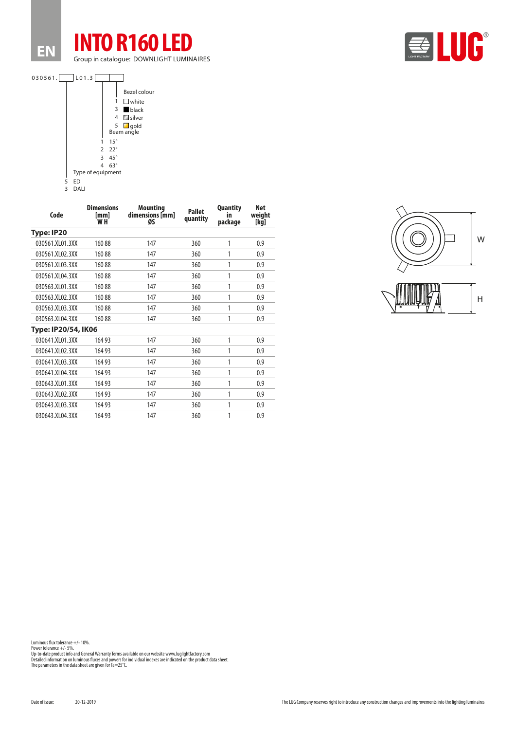





| Code                | <b>Dimensions</b><br>[mm]<br>W H | <b>Mounting</b><br>dimensions [mm]<br>ØS | <b>Pallet</b><br>quantity | <b>Quantity</b><br>in<br>package | <b>Net</b><br>weiaht<br>[kg] |
|---------------------|----------------------------------|------------------------------------------|---------------------------|----------------------------------|------------------------------|
| Type: IP20          |                                  |                                          |                           |                                  |                              |
| 030561.XL01.3XX     | 16088                            | 147                                      | 360                       | 1                                | 0.9                          |
| 030561.XL02.3XX     | 16088                            | 147                                      | 360                       | 1                                | 0.9                          |
| 030561.XL03.3XX     | 16088                            | 147                                      | 360                       | 1                                | 0.9                          |
| 030561.XL04.3XX     | 16088                            | 147                                      | 360                       | 1                                | 0.9                          |
| 030563.XL01.3XX     | 16088                            | 147                                      | 360                       | 1                                | 0.9                          |
| 030563.XL02.3XX     | 16088                            | 147                                      | 360                       | 1                                | 0.9                          |
| 030563.XL03.3XX     | 16088                            | 147                                      | 360                       | 1                                | 0.9                          |
| 030563.XL04.3XX     | 16088                            | 147                                      | 360                       | 1                                | 0.9                          |
| Type: IP20/54, IK06 |                                  |                                          |                           |                                  |                              |
| 030641.XL01.3XX     | 16493                            | 147                                      | 360                       | 1                                | 0.9                          |
| 030641.XL02.3XX     | 16493                            | 147                                      | 360                       | 1                                | 0.9                          |
| 030641.XL03.3XX     | 16493                            | 147                                      | 360                       | 1                                | 0.9                          |
| 030641.XL04.3XX     | 16493                            | 147                                      | 360                       | 1                                | 0.9                          |
| 030643.XL01.3XX     | 16493                            | 147                                      | 360                       | 1                                | 0.9                          |
| 030643.XL02.3XX     | 16493                            | 147                                      | 360                       | 1                                | 0.9                          |
| 030643.XL03.3XX     | 16493                            | 147                                      | 360                       | 1                                | 0.9                          |
| 030643.XL04.3XX     | 16493                            | 147                                      | 360                       | 1                                | 0.9                          |



Luminous flux tolerance +/- 10%.

Power tolerance +/- 5%.<br>Up-to-date product info and General Warranty Terms available on our website www.luglightfactory.com<br>Detailed information on luminous fluxes and powers for individual indexes are indicated on the pro